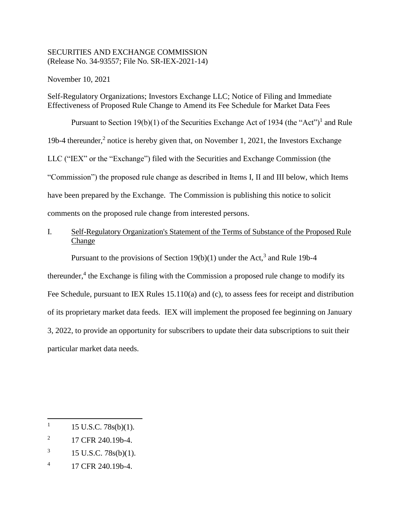# SECURITIES AND EXCHANGE COMMISSION (Release No. 34-93557; File No. SR-IEX-2021-14)

November 10, 2021

Self-Regulatory Organizations; Investors Exchange LLC; Notice of Filing and Immediate Effectiveness of Proposed Rule Change to Amend its Fee Schedule for Market Data Fees

Pursuant to Section 19(b)(1) of the Securities Exchange Act of 1934 (the "Act")<sup>1</sup> and Rule 19b-4 thereunder,<sup>2</sup> notice is hereby given that, on November 1, 2021, the Investors Exchange LLC ("IEX" or the "Exchange") filed with the Securities and Exchange Commission (the "Commission") the proposed rule change as described in Items I, II and III below, which Items have been prepared by the Exchange. The Commission is publishing this notice to solicit comments on the proposed rule change from interested persons.

# I. Self-Regulatory Organization's Statement of the Terms of Substance of the Proposed Rule Change

Pursuant to the provisions of Section  $19(b)(1)$  under the Act,<sup>3</sup> and Rule 19b-4

thereunder, $4$  the Exchange is filing with the Commission a proposed rule change to modify its Fee Schedule, pursuant to IEX Rules 15.110(a) and (c), to assess fees for receipt and distribution of its proprietary market data feeds. IEX will implement the proposed fee beginning on January 3, 2022, to provide an opportunity for subscribers to update their data subscriptions to suit their particular market data needs.

- 2 17 CFR 240.19b-4.
- 3 15 U.S.C. 78s(b)(1).
- 4 17 CFR 240.19b-4.

<sup>1</sup> 15 U.S.C. 78s(b)(1).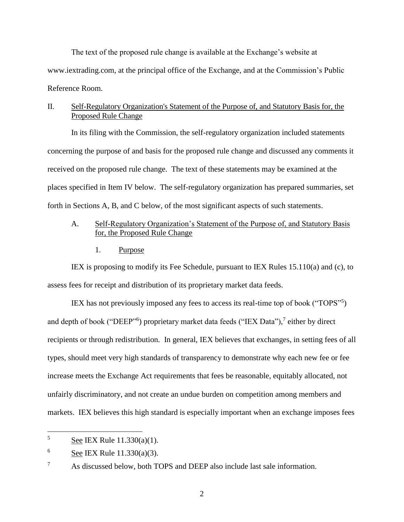The text of the proposed rule change is available at the Exchange's website at www.iextrading.com, at the principal office of the Exchange, and at the Commission's Public Reference Room.

### II. Self-Regulatory Organization's Statement of the Purpose of, and Statutory Basis for, the Proposed Rule Change

In its filing with the Commission, the self-regulatory organization included statements concerning the purpose of and basis for the proposed rule change and discussed any comments it received on the proposed rule change. The text of these statements may be examined at the places specified in Item IV below. The self-regulatory organization has prepared summaries, set forth in Sections A, B, and C below, of the most significant aspects of such statements.

# A. Self-Regulatory Organization's Statement of the Purpose of, and Statutory Basis for, the Proposed Rule Change

1. Purpose

IEX is proposing to modify its Fee Schedule, pursuant to IEX Rules 15.110(a) and (c), to assess fees for receipt and distribution of its proprietary market data feeds.

IEX has not previously imposed any fees to access its real-time top of book ("TOPS"<sup>5</sup> ) and depth of book ("DEEP"<sup>6</sup>) proprietary market data feeds ("IEX Data"),<sup>7</sup> either by direct recipients or through redistribution. In general, IEX believes that exchanges, in setting fees of all types, should meet very high standards of transparency to demonstrate why each new fee or fee increase meets the Exchange Act requirements that fees be reasonable, equitably allocated, not unfairly discriminatory, and not create an undue burden on competition among members and markets. IEX believes this high standard is especially important when an exchange imposes fees

 $\overline{5}$ See IEX Rule 11.330(a)(1).

 $^6$  See IEX Rule 11.330(a)(3).

 $7 \text{ A}s$  discussed below, both TOPS and DEEP also include last sale information.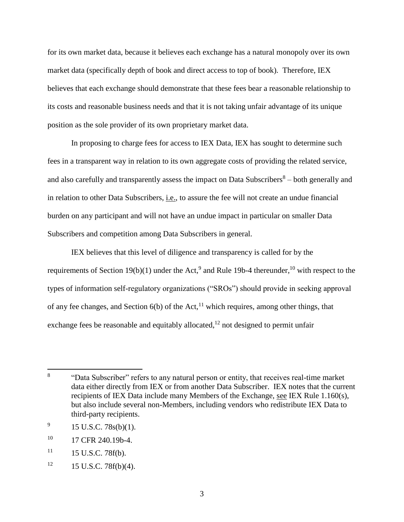for its own market data, because it believes each exchange has a natural monopoly over its own market data (specifically depth of book and direct access to top of book). Therefore, IEX believes that each exchange should demonstrate that these fees bear a reasonable relationship to its costs and reasonable business needs and that it is not taking unfair advantage of its unique position as the sole provider of its own proprietary market data.

In proposing to charge fees for access to IEX Data, IEX has sought to determine such fees in a transparent way in relation to its own aggregate costs of providing the related service, and also carefully and transparently assess the impact on Data Subscribers $8-$  both generally and in relation to other Data Subscribers, *i.e.*, to assure the fee will not create an undue financial burden on any participant and will not have an undue impact in particular on smaller Data Subscribers and competition among Data Subscribers in general.

IEX believes that this level of diligence and transparency is called for by the requirements of Section 19(b)(1) under the Act,<sup>9</sup> and Rule 19b-4 thereunder, <sup>10</sup> with respect to the types of information self-regulatory organizations ("SROs") should provide in seeking approval of any fee changes, and Section  $6(b)$  of the Act,<sup>11</sup> which requires, among other things, that exchange fees be reasonable and equitably allocated, $12$  not designed to permit unfair

<sup>8</sup> "Data Subscriber" refers to any natural person or entity, that receives real-time market data either directly from IEX or from another Data Subscriber. IEX notes that the current recipients of IEX Data include many Members of the Exchange, see IEX Rule 1.160(s), but also include several non-Members, including vendors who redistribute IEX Data to third-party recipients.

<sup>9</sup> 15 U.S.C. 78s(b)(1).

<sup>&</sup>lt;sup>10</sup> 17 CFR 240.19b-4.

 $11 \qquad 15 \text{ U.S.C. } 78f(b).$ 

 $12 \qquad 15 \text{ U.S.C. } 78f(b)(4).$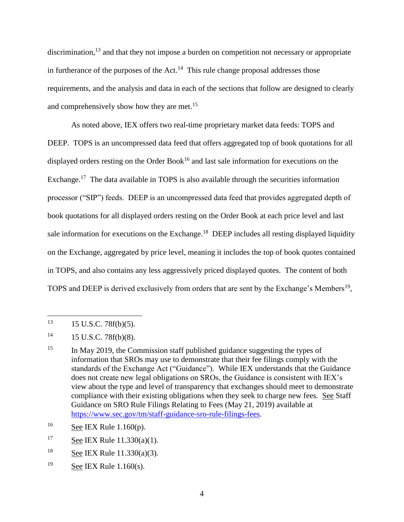discrimination,<sup>13</sup> and that they not impose a burden on competition not necessary or appropriate in furtherance of the purposes of the Act.<sup>14</sup> This rule change proposal addresses those requirements, and the analysis and data in each of the sections that follow are designed to clearly and comprehensively show how they are met.<sup>15</sup>

As noted above, IEX offers two real-time proprietary market data feeds: TOPS and DEEP. TOPS is an uncompressed data feed that offers aggregated top of book quotations for all displayed orders resting on the Order Book<sup>16</sup> and last sale information for executions on the Exchange.<sup>17</sup> The data available in TOPS is also available through the securities information processor ("SIP") feeds. DEEP is an uncompressed data feed that provides aggregated depth of book quotations for all displayed orders resting on the Order Book at each price level and last sale information for executions on the Exchange.<sup>18</sup> DEEP includes all resting displayed liquidity on the Exchange, aggregated by price level, meaning it includes the top of book quotes contained in TOPS, and also contains any less aggressively priced displayed quotes. The content of both TOPS and DEEP is derived exclusively from orders that are sent by the Exchange's Members<sup>19</sup>,

13 <sup>13</sup> 15 U.S.C. 78f(b)(5).

- <sup>16</sup> See IEX Rule 1.160(p).
- <sup>17</sup> See IEX Rule 11.330(a)(1).
- $18$  See IEX Rule 11.330(a)(3).
- <sup>19</sup> See IEX Rule  $1.160(s)$ .

 $14 \qquad 15 \text{ U.S.C. } 78f(b)(8).$ 

 $15$  In May 2019, the Commission staff published guidance suggesting the types of information that SROs may use to demonstrate that their fee filings comply with the standards of the Exchange Act ("Guidance"). While IEX understands that the Guidance does not create new legal obligations on SROs, the Guidance is consistent with IEX's view about the type and level of transparency that exchanges should meet to demonstrate compliance with their existing obligations when they seek to charge new fees. See Staff Guidance on SRO Rule Filings Relating to Fees (May 21, 2019) available at [https://www.sec.gov/tm/staff-guidance-sro-rule-filings-fees.](https://www.sec.gov/tm/staff-guidance-sro-rule-filings-fees)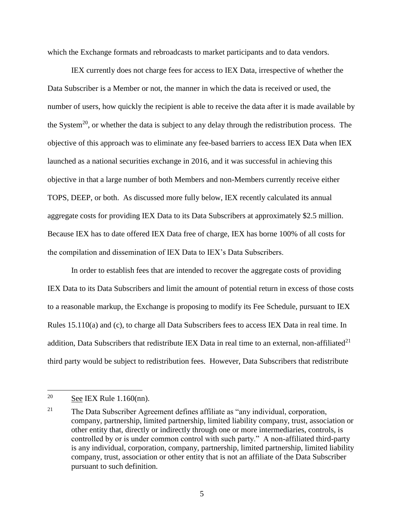which the Exchange formats and rebroadcasts to market participants and to data vendors.

IEX currently does not charge fees for access to IEX Data, irrespective of whether the Data Subscriber is a Member or not, the manner in which the data is received or used, the number of users, how quickly the recipient is able to receive the data after it is made available by the System<sup>20</sup>, or whether the data is subject to any delay through the redistribution process. The objective of this approach was to eliminate any fee-based barriers to access IEX Data when IEX launched as a national securities exchange in 2016, and it was successful in achieving this objective in that a large number of both Members and non-Members currently receive either TOPS, DEEP, or both. As discussed more fully below, IEX recently calculated its annual aggregate costs for providing IEX Data to its Data Subscribers at approximately \$2.5 million. Because IEX has to date offered IEX Data free of charge, IEX has borne 100% of all costs for the compilation and dissemination of IEX Data to IEX's Data Subscribers.

In order to establish fees that are intended to recover the aggregate costs of providing IEX Data to its Data Subscribers and limit the amount of potential return in excess of those costs to a reasonable markup, the Exchange is proposing to modify its Fee Schedule, pursuant to IEX Rules 15.110(a) and (c), to charge all Data Subscribers fees to access IEX Data in real time. In addition, Data Subscribers that redistribute IEX Data in real time to an external, non-affiliated $^{21}$ third party would be subject to redistribution fees. However, Data Subscribers that redistribute

<sup>20</sup> See IEX Rule  $1.160$ (nn).

<sup>21</sup> The Data Subscriber Agreement defines affiliate as "any individual, corporation, company, partnership, limited partnership, limited liability company, trust, association or other entity that, directly or indirectly through one or more intermediaries, controls, is controlled by or is under common control with such party." A non-affiliated third-party is any individual, corporation, company, partnership, limited partnership, limited liability company, trust, association or other entity that is not an affiliate of the Data Subscriber pursuant to such definition.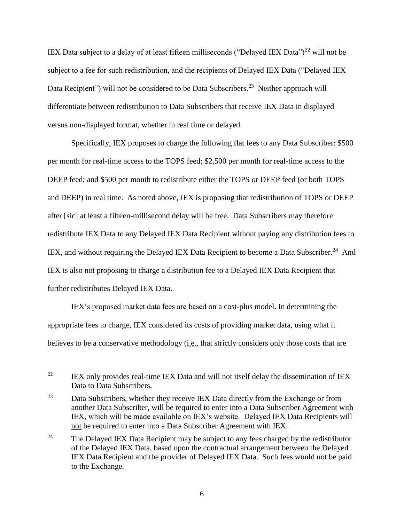IEX Data subject to a delay of at least fifteen milliseconds ("Delayed IEX Data")<sup>22</sup> will not be subject to a fee for such redistribution, and the recipients of Delayed IEX Data ("Delayed IEX Data Recipient") will not be considered to be Data Subscribers.<sup>23</sup> Neither approach will differentiate between redistribution to Data Subscribers that receive IEX Data in displayed versus non-displayed format, whether in real time or delayed.

Specifically, IEX proposes to charge the following flat fees to any Data Subscriber: \$500 per month for real-time access to the TOPS feed; \$2,500 per month for real-time access to the DEEP feed; and \$500 per month to redistribute either the TOPS or DEEP feed (or both TOPS and DEEP) in real time. As noted above, IEX is proposing that redistribution of TOPS or DEEP after [sic] at least a fifteen-millisecond delay will be free. Data Subscribers may therefore redistribute IEX Data to any Delayed IEX Data Recipient without paying any distribution fees to IEX, and without requiring the Delayed IEX Data Recipient to become a Data Subscriber.<sup>24</sup> And IEX is also not proposing to charge a distribution fee to a Delayed IEX Data Recipient that further redistributes Delayed IEX Data.

IEX's proposed market data fees are based on a cost-plus model. In determining the appropriate fees to charge, IEX considered its costs of providing market data, using what it believes to be a conservative methodology (i.e., that strictly considers only those costs that are

<sup>&</sup>lt;sup>22</sup> IEX only provides real-time IEX Data and will not itself delay the dissemination of IEX Data to Data Subscribers.

<sup>&</sup>lt;sup>23</sup> Data Subscribers, whether they receive IEX Data directly from the Exchange or from another Data Subscriber, will be required to enter into a Data Subscriber Agreement with IEX, which will be made available on IEX's website. Delayed IEX Data Recipients will not be required to enter into a Data Subscriber Agreement with IEX.

<sup>&</sup>lt;sup>24</sup> The Delayed IEX Data Recipient may be subject to any fees charged by the redistributor of the Delayed IEX Data, based upon the contractual arrangement between the Delayed IEX Data Recipient and the provider of Delayed IEX Data. Such fees would not be paid to the Exchange.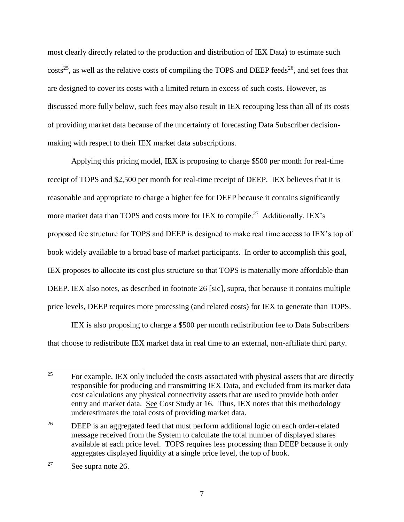<span id="page-6-1"></span><span id="page-6-0"></span>most clearly directly related to the production and distribution of IEX Data) to estimate such  $\text{costs}^{25}$ , as well as the relative costs of compiling the TOPS and DEEP feeds<sup>26</sup>, and set fees that are designed to cover its costs with a limited return in excess of such costs. However, as discussed more fully below, such fees may also result in IEX recouping less than all of its costs of providing market data because of the uncertainty of forecasting Data Subscriber decisionmaking with respect to their IEX market data subscriptions.

Applying this pricing model, IEX is proposing to charge \$500 per month for real-time receipt of TOPS and \$2,500 per month for real-time receipt of DEEP. IEX believes that it is reasonable and appropriate to charge a higher fee for DEEP because it contains significantly more market data than TOPS and costs more for IEX to compile.<sup>27</sup> Additionally, IEX's proposed fee structure for TOPS and DEEP is designed to make real time access to IEX's top of book widely available to a broad base of market participants. In order to accomplish this goal, IEX proposes to allocate its cost plus structure so that TOPS is materially more affordable than DEEP. IEX also notes, as described in footnote [26](#page-6-0) [sic], supra, that because it contains multiple price levels, DEEP requires more processing (and related costs) for IEX to generate than TOPS.

IEX is also proposing to charge a \$500 per month redistribution fee to Data Subscribers that choose to redistribute IEX market data in real time to an external, non-affiliate third party.

 $25$  For example, IEX only included the costs associated with physical assets that are directly responsible for producing and transmitting IEX Data, and excluded from its market data cost calculations any physical connectivity assets that are used to provide both order entry and market data. See Cost Study at 16. Thus, IEX notes that this methodology underestimates the total costs of providing market data.

<sup>&</sup>lt;sup>26</sup> DEEP is an aggregated feed that must perform additional logic on each order-related message received from the System to calculate the total number of displayed shares available at each price level. TOPS requires less processing than DEEP because it only aggregates displayed liquidity at a single price level, the top of book.

<sup>27</sup> See supra note 26.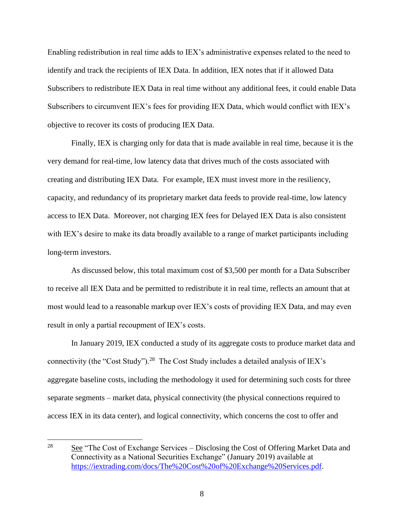Enabling redistribution in real time adds to IEX's administrative expenses related to the need to identify and track the recipients of IEX Data. In addition, IEX notes that if it allowed Data Subscribers to redistribute IEX Data in real time without any additional fees, it could enable Data Subscribers to circumvent IEX's fees for providing IEX Data, which would conflict with IEX's objective to recover its costs of producing IEX Data.

Finally, IEX is charging only for data that is made available in real time, because it is the very demand for real-time, low latency data that drives much of the costs associated with creating and distributing IEX Data. For example, IEX must invest more in the resiliency, capacity, and redundancy of its proprietary market data feeds to provide real-time, low latency access to IEX Data. Moreover, not charging IEX fees for Delayed IEX Data is also consistent with IEX's desire to make its data broadly available to a range of market participants including long-term investors.

As discussed below, this total maximum cost of \$3,500 per month for a Data Subscriber to receive all IEX Data and be permitted to redistribute it in real time, reflects an amount that at most would lead to a reasonable markup over IEX's costs of providing IEX Data, and may even result in only a partial recoupment of IEX's costs.

In January 2019, IEX conducted a study of its aggregate costs to produce market data and connectivity (the "Cost Study").<sup>28</sup> The Cost Study includes a detailed analysis of IEX's aggregate baseline costs, including the methodology it used for determining such costs for three separate segments – market data, physical connectivity (the physical connections required to access IEX in its data center), and logical connectivity, which concerns the cost to offer and

<sup>28</sup> See "The Cost of Exchange Services – Disclosing the Cost of Offering Market Data and Connectivity as a National Securities Exchange" (January 2019) available at [https://iextrading.com/docs/The%20Cost%20of%20Exchange%20Services.pdf.](https://iextrading.com/docs/The%20Cost%20of%20Exchange%20Services.pdf)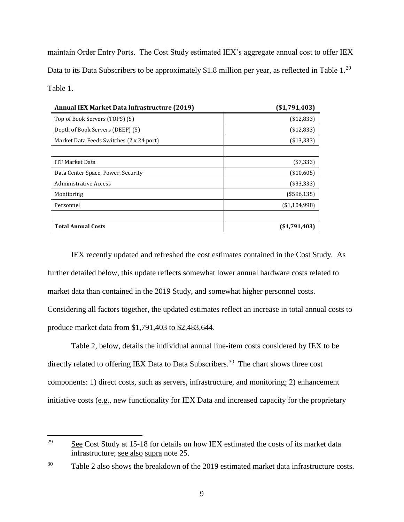maintain Order Entry Ports. The Cost Study estimated IEX's aggregate annual cost to offer IEX Data to its Data Subscribers to be approximately \$1.8 million per year, as reflected in Table  $1.^{29}$ Table 1.

| <b>Annual IEX Market Data Infrastructure (2019)</b> | ( \$1,791,403) |
|-----------------------------------------------------|----------------|
| Top of Book Servers (TOPS) (5)                      | (\$12,833)     |
| Depth of Book Servers (DEEP) (5)                    | (\$12,833)     |
| Market Data Feeds Switches (2 x 24 port)            | (\$13,333)     |
|                                                     |                |
| <b>ITF Market Data</b>                              | $(*7,333)$     |
| Data Center Space, Power, Security                  | (\$10,605)     |
| Administrative Access                               | (\$33,333)     |
| Monitoring                                          | (\$596,135)    |
| Personnel                                           | ( \$1,104,998) |
|                                                     |                |
| <b>Total Annual Costs</b>                           | (S1,791,403)   |

IEX recently updated and refreshed the cost estimates contained in the Cost Study. As further detailed below, this update reflects somewhat lower annual hardware costs related to market data than contained in the 2019 Study, and somewhat higher personnel costs. Considering all factors together, the updated estimates reflect an increase in total annual costs to produce market data from \$1,791,403 to \$2,483,644.

Table 2, below, details the individual annual line-item costs considered by IEX to be directly related to offering IEX Data to Data Subscribers.<sup>30</sup> The chart shows three cost components: 1) direct costs, such as servers, infrastructure, and monitoring; 2) enhancement initiative costs (e.g., new functionality for IEX Data and increased capacity for the proprietary

<sup>29</sup> See Cost Study at 15-18 for details on how IEX estimated the costs of its market data infrastructure; see also supra note [25.](#page-6-1)

<sup>&</sup>lt;sup>30</sup> Table 2 also shows the breakdown of the 2019 estimated market data infrastructure costs.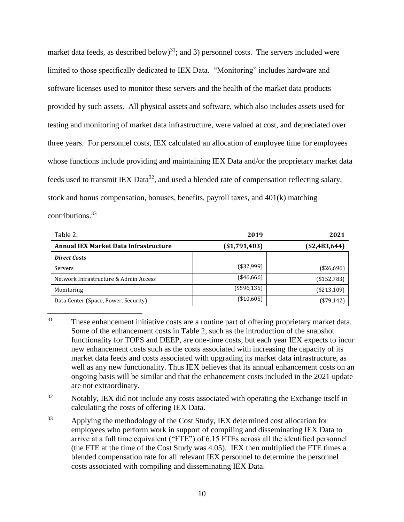market data feeds, as described below)<sup>31</sup>; and 3) personnel costs. The servers included were limited to those specifically dedicated to IEX Data. "Monitoring" includes hardware and software licenses used to monitor these servers and the health of the market data products provided by such assets. All physical assets and software, which also includes assets used for testing and monitoring of market data infrastructure, were valued at cost, and depreciated over three years. For personnel costs, IEX calculated an allocation of employee time for employees whose functions include providing and maintaining IEX Data and/or the proprietary market data feeds used to transmit IEX Data<sup>32</sup>, and used a blended rate of compensation reflecting salary, stock and bonus compensation, bonuses, benefits, payroll taxes, and 401(k) matching contributions. $33$ 

| Table 2.                                     | 2019           | 2021           |
|----------------------------------------------|----------------|----------------|
| <b>Annual IEX Market Data Infrastructure</b> | ( \$1,791,403) | ( \$2,483,644) |
| <b>Direct Costs</b>                          |                |                |
| Servers                                      | $(*32,999)$    | $(*26,696)$    |
| Network Infrastructure & Admin Access        | $(*46,666)$    | (\$152,783)    |
| Monitoring                                   | (\$596,135)    | (\$213,109)    |
| Data Center (Space, Power, Security)         | (\$10,605)     | $(*79,142)$    |

- $31$ These enhancement initiative costs are a routine part of offering proprietary market data. Some of the enhancement costs in Table 2, such as the introduction of the snapshot functionality for TOPS and DEEP, are one-time costs, but each year IEX expects to incur new enhancement costs such as the costs associated with increasing the capacity of its market data feeds and costs associated with upgrading its market data infrastructure, as well as any new functionality. Thus IEX believes that its annual enhancement costs on an ongoing basis will be similar and that the enhancement costs included in the 2021 update are not extraordinary.
- <sup>32</sup> Notably, IEX did not include any costs associated with operating the Exchange itself in calculating the costs of offering IEX Data.
- <sup>33</sup> Applying the methodology of the Cost Study, IEX determined cost allocation for employees who perform work in support of compiling and disseminating IEX Data to arrive at a full time equivalent ("FTE") of 6.15 FTEs across all the identified personnel (the FTE at the time of the Cost Study was 4.05). IEX then multiplied the FTE times a blended compensation rate for all relevant IEX personnel to determine the personnel costs associated with compiling and disseminating IEX Data.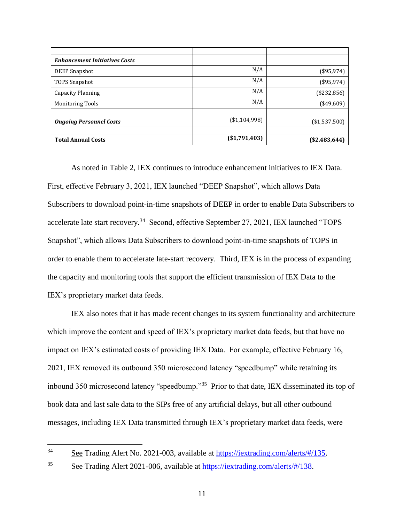| <b>Enhancement Initiatives Costs</b> |                |                |
|--------------------------------------|----------------|----------------|
| DEEP Snapshot                        | N/A            | $(*95,974)$    |
| TOPS Snapshot                        | N/A            | $(*95,974)$    |
| <b>Capacity Planning</b>             | N/A            | $(*232,856)$   |
| <b>Monitoring Tools</b>              | N/A            | $(*49,609)$    |
|                                      |                |                |
| <b>Ongoing Personnel Costs</b>       | (\$1,104,998)  | (\$1,537,500)  |
|                                      |                |                |
| <b>Total Annual Costs</b>            | ( \$1,791,403) | $(*2,483,644)$ |

As noted in Table 2, IEX continues to introduce enhancement initiatives to IEX Data. First, effective February 3, 2021, IEX launched "DEEP Snapshot", which allows Data Subscribers to download point-in-time snapshots of DEEP in order to enable Data Subscribers to accelerate late start recovery.<sup>34</sup> Second, effective September 27, 2021, IEX launched "TOPS Snapshot", which allows Data Subscribers to download point-in-time snapshots of TOPS in order to enable them to accelerate late-start recovery. Third, IEX is in the process of expanding the capacity and monitoring tools that support the efficient transmission of IEX Data to the IEX's proprietary market data feeds.

IEX also notes that it has made recent changes to its system functionality and architecture which improve the content and speed of IEX's proprietary market data feeds, but that have no impact on IEX's estimated costs of providing IEX Data. For example, effective February 16, 2021, IEX removed its outbound 350 microsecond latency "speedbump" while retaining its inbound 350 microsecond latency "speedbump."<sup>35</sup> Prior to that date, IEX disseminated its top of book data and last sale data to the SIPs free of any artificial delays, but all other outbound messages, including IEX Data transmitted through IEX's proprietary market data feeds, were

<sup>34</sup> See Trading Alert No. 2021-003, available at [https://iextrading.com/alerts/#/135.](https://iextrading.com/alerts/#/135)

<sup>35</sup> See Trading Alert 2021-006, available at [https://iextrading.com/alerts/#/138.](https://iextrading.com/alerts/#/138)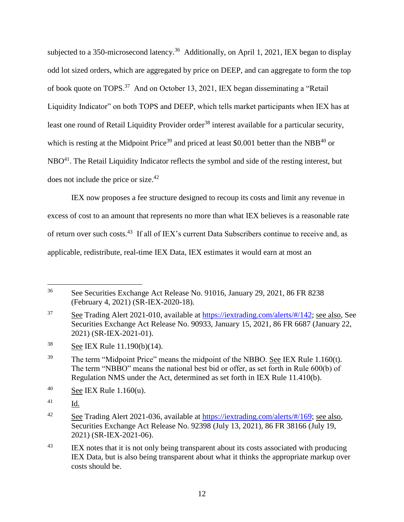subjected to a 350-microsecond latency.<sup>36</sup> Additionally, on April 1, 2021, IEX began to display odd lot sized orders, which are aggregated by price on DEEP, and can aggregate to form the top of book quote on TOPS.<sup>37</sup> And on October 13, 2021, IEX began disseminating a "Retail Liquidity Indicator" on both TOPS and DEEP, which tells market participants when IEX has at least one round of Retail Liquidity Provider order<sup>38</sup> interest available for a particular security, which is resting at the Midpoint Price<sup>39</sup> and priced at least \$0.001 better than the NBB<sup>40</sup> or NBO<sup>41</sup>. The Retail Liquidity Indicator reflects the symbol and side of the resting interest, but does not include the price or size.<sup>42</sup>

IEX now proposes a fee structure designed to recoup its costs and limit any revenue in excess of cost to an amount that represents no more than what IEX believes is a reasonable rate of return over such costs.<sup>43</sup> If all of IEX's current Data Subscribers continue to receive and, as applicable, redistribute, real-time IEX Data, IEX estimates it would earn at most an

<sup>36</sup> See Securities Exchange Act Release No. 91016, January 29, 2021, 86 FR 8238 (February 4, 2021) (SR-IEX-2020-18).

 $\frac{37}{20}$  See Trading Alert 2021-010, available at [https://iextrading.com/alerts/#/142;](https://iextrading.com/alerts/#/142) see also, See Securities Exchange Act Release No. 90933, January 15, 2021, 86 FR 6687 (January 22, 2021) (SR-IEX-2021-01).

<sup>38</sup> See IEX Rule 11.190(b)(14).

<sup>&</sup>lt;sup>39</sup> The term "Midpoint Price" means the midpoint of the NBBO. See IEX Rule 1.160(t). The term "NBBO" means the national best bid or offer, as set forth in Rule 600(b) of Regulation NMS under the Act, determined as set forth in IEX Rule 11.410(b).

 $^{40}$  See IEX Rule 1.160(u).

<sup>41</sup> Id.

<sup>&</sup>lt;sup>42</sup> See Trading Alert 2021-036, available at [https://iextrading.com/alerts/#/169;](https://iextrading.com/alerts/#/169) see also, Securities Exchange Act Release No. 92398 (July 13, 2021), 86 FR 38166 (July 19, 2021) (SR-IEX-2021-06).

<sup>&</sup>lt;sup>43</sup> IEX notes that it is not only being transparent about its costs associated with producing IEX Data, but is also being transparent about what it thinks the appropriate markup over costs should be.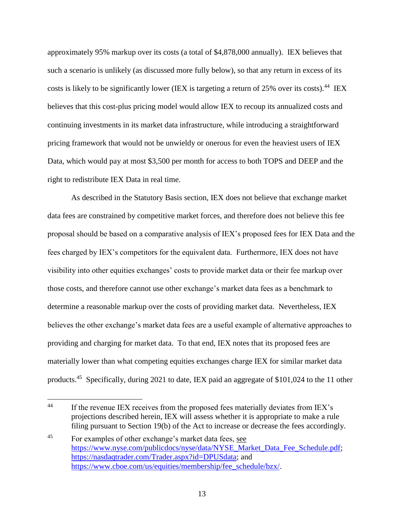approximately 95% markup over its costs (a total of \$4,878,000 annually). IEX believes that such a scenario is unlikely (as discussed more fully below), so that any return in excess of its costs is likely to be significantly lower (IEX is targeting a return of  $25\%$  over its costs).<sup>44</sup> IEX believes that this cost-plus pricing model would allow IEX to recoup its annualized costs and continuing investments in its market data infrastructure, while introducing a straightforward pricing framework that would not be unwieldy or onerous for even the heaviest users of IEX Data, which would pay at most \$3,500 per month for access to both TOPS and DEEP and the right to redistribute IEX Data in real time.

As described in the Statutory Basis section, IEX does not believe that exchange market data fees are constrained by competitive market forces, and therefore does not believe this fee proposal should be based on a comparative analysis of IEX's proposed fees for IEX Data and the fees charged by IEX's competitors for the equivalent data. Furthermore, IEX does not have visibility into other equities exchanges' costs to provide market data or their fee markup over those costs, and therefore cannot use other exchange's market data fees as a benchmark to determine a reasonable markup over the costs of providing market data. Nevertheless, IEX believes the other exchange's market data fees are a useful example of alternative approaches to providing and charging for market data. To that end, IEX notes that its proposed fees are materially lower than what competing equities exchanges charge IEX for similar market data products.<sup>45</sup> Specifically, during 2021 to date, IEX paid an aggregate of \$101,024 to the 11 other

<span id="page-12-0"></span> $44$ If the revenue IEX receives from the proposed fees materially deviates from IEX's projections described herein, IEX will assess whether it is appropriate to make a rule filing pursuant to Section 19(b) of the Act to increase or decrease the fees accordingly.

<sup>45</sup> For examples of other exchange's market data fees, see [https://www.nyse.com/publicdocs/nyse/data/NYSE\\_Market\\_Data\\_Fee\\_Schedule.pdf;](https://www.nyse.com/publicdocs/nyse/data/NYSE_Market_Data_Fee_Schedule.pdf) [https://nasdaqtrader.com/Trader.aspx?id=DPUSdata;](https://nasdaqtrader.com/Trader.aspx?id=DPUSdata) and [https://www.cboe.com/us/equities/membership/fee\\_schedule/bzx/.](https://www.cboe.com/us/equities/membership/fee_schedule/bzx/)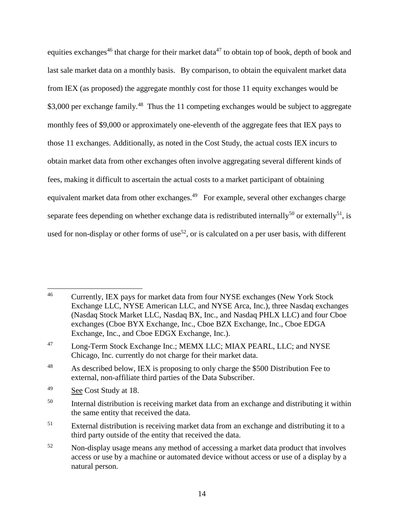equities exchanges<sup>46</sup> that charge for their market data<sup>47</sup> to obtain top of book, depth of book and last sale market data on a monthly basis. By comparison, to obtain the equivalent market data from IEX (as proposed) the aggregate monthly cost for those 11 equity exchanges would be \$3,000 per exchange family.<sup>48</sup> Thus the 11 competing exchanges would be subject to aggregate monthly fees of \$9,000 or approximately one-eleventh of the aggregate fees that IEX pays to those 11 exchanges. Additionally, as noted in the Cost Study, the actual costs IEX incurs to obtain market data from other exchanges often involve aggregating several different kinds of fees, making it difficult to ascertain the actual costs to a market participant of obtaining equivalent market data from other exchanges.<sup>49</sup> For example, several other exchanges charge separate fees depending on whether exchange data is redistributed internally<sup>50</sup> or externally<sup>51</sup>, is used for non-display or other forms of use<sup>52</sup>, or is calculated on a per user basis, with different

 $\overline{a}$ <sup>46</sup> Currently, IEX pays for market data from four NYSE exchanges (New York Stock Exchange LLC, NYSE American LLC, and NYSE Arca, Inc.), three Nasdaq exchanges (Nasdaq Stock Market LLC, Nasdaq BX, Inc., and Nasdaq PHLX LLC) and four Cboe exchanges (Cboe BYX Exchange, Inc., Cboe BZX Exchange, Inc., Cboe EDGA Exchange, Inc., and Cboe EDGX Exchange, Inc.).

<sup>47</sup> Long-Term Stock Exchange Inc.; MEMX LLC; MIAX PEARL, LLC; and NYSE Chicago, Inc. currently do not charge for their market data.

<sup>&</sup>lt;sup>48</sup> As described below, IEX is proposing to only charge the \$500 Distribution Fee to external, non-affiliate third parties of the Data Subscriber.

<sup>49</sup> See Cost Study at 18.

<sup>&</sup>lt;sup>50</sup> Internal distribution is receiving market data from an exchange and distributing it within the same entity that received the data.

<sup>&</sup>lt;sup>51</sup> External distribution is receiving market data from an exchange and distributing it to a third party outside of the entity that received the data.

<sup>&</sup>lt;sup>52</sup> Non-display usage means any method of accessing a market data product that involves access or use by a machine or automated device without access or use of a display by a natural person.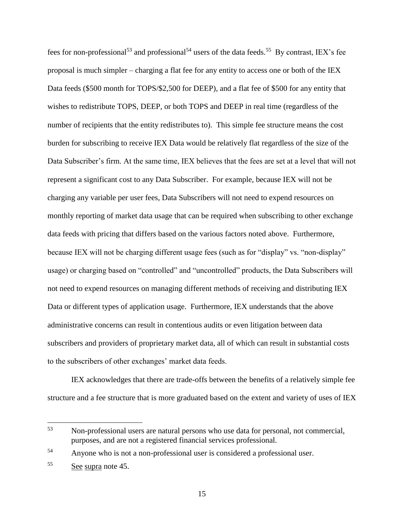fees for non-professional<sup>53</sup> and professional<sup>54</sup> users of the data feeds.<sup>55</sup> By contrast, IEX's fee proposal is much simpler – charging a flat fee for any entity to access one or both of the IEX Data feeds (\$500 month for TOPS/\$2,500 for DEEP), and a flat fee of \$500 for any entity that wishes to redistribute TOPS, DEEP, or both TOPS and DEEP in real time (regardless of the number of recipients that the entity redistributes to). This simple fee structure means the cost burden for subscribing to receive IEX Data would be relatively flat regardless of the size of the Data Subscriber's firm. At the same time, IEX believes that the fees are set at a level that will not represent a significant cost to any Data Subscriber. For example, because IEX will not be charging any variable per user fees, Data Subscribers will not need to expend resources on monthly reporting of market data usage that can be required when subscribing to other exchange data feeds with pricing that differs based on the various factors noted above. Furthermore, because IEX will not be charging different usage fees (such as for "display" vs. "non-display" usage) or charging based on "controlled" and "uncontrolled" products, the Data Subscribers will not need to expend resources on managing different methods of receiving and distributing IEX Data or different types of application usage. Furthermore, IEX understands that the above administrative concerns can result in contentious audits or even litigation between data subscribers and providers of proprietary market data, all of which can result in substantial costs to the subscribers of other exchanges' market data feeds.

IEX acknowledges that there are trade-offs between the benefits of a relatively simple fee structure and a fee structure that is more graduated based on the extent and variety of uses of IEX

<sup>53</sup> Non-professional users are natural persons who use data for personal, not commercial, purposes, and are not a registered financial services professional.

<sup>54</sup> Anyone who is not a non-professional user is considered a professional user.

<sup>55</sup> See supra note [45.](#page-12-0)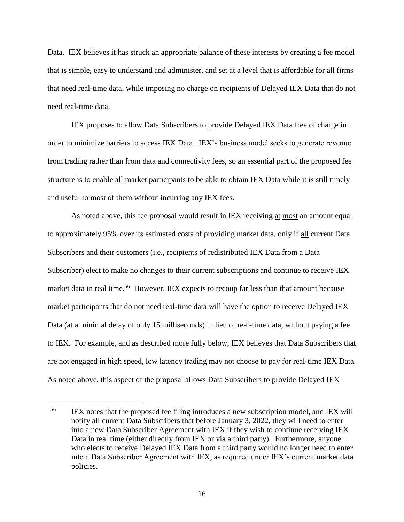Data. IEX believes it has struck an appropriate balance of these interests by creating a fee model that is simple, easy to understand and administer, and set at a level that is affordable for all firms that need real-time data, while imposing no charge on recipients of Delayed IEX Data that do not need real-time data.

IEX proposes to allow Data Subscribers to provide Delayed IEX Data free of charge in order to minimize barriers to access IEX Data. IEX's business model seeks to generate revenue from trading rather than from data and connectivity fees, so an essential part of the proposed fee structure is to enable all market participants to be able to obtain IEX Data while it is still timely and useful to most of them without incurring any IEX fees.

As noted above, this fee proposal would result in IEX receiving at most an amount equal to approximately 95% over its estimated costs of providing market data, only if all current Data Subscribers and their customers (i.e., recipients of redistributed IEX Data from a Data Subscriber) elect to make no changes to their current subscriptions and continue to receive IEX market data in real time.<sup>56</sup> However, IEX expects to recoup far less than that amount because market participants that do not need real-time data will have the option to receive Delayed IEX Data (at a minimal delay of only 15 milliseconds) in lieu of real-time data, without paying a fee to IEX. For example, and as described more fully below, IEX believes that Data Subscribers that are not engaged in high speed, low latency trading may not choose to pay for real-time IEX Data. As noted above, this aspect of the proposal allows Data Subscribers to provide Delayed IEX

<sup>&</sup>lt;sup>56</sup> IEX notes that the proposed fee filing introduces a new subscription model, and IEX will notify all current Data Subscribers that before January 3, 2022, they will need to enter into a new Data Subscriber Agreement with IEX if they wish to continue receiving IEX Data in real time (either directly from IEX or via a third party). Furthermore, anyone who elects to receive Delayed IEX Data from a third party would no longer need to enter into a Data Subscriber Agreement with IEX, as required under IEX's current market data policies.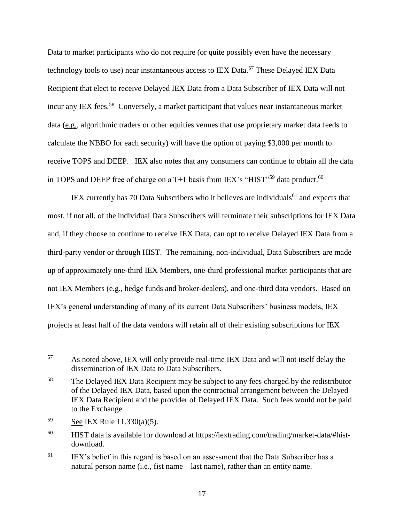Data to market participants who do not require (or quite possibly even have the necessary technology tools to use) near instantaneous access to IEX Data.<sup>57</sup> These Delayed IEX Data Recipient that elect to receive Delayed IEX Data from a Data Subscriber of IEX Data will not incur any IEX fees.<sup>58</sup> Conversely, a market participant that values near instantaneous market data (e.g., algorithmic traders or other equities venues that use proprietary market data feeds to calculate the NBBO for each security) will have the option of paying \$3,000 per month to receive TOPS and DEEP. IEX also notes that any consumers can continue to obtain all the data in TOPS and DEEP free of charge on a  $T+1$  basis from IEX's "HIST"<sup>59</sup> data product.<sup>60</sup>

IEX currently has 70 Data Subscribers who it believes are individuals<sup>61</sup> and expects that most, if not all, of the individual Data Subscribers will terminate their subscriptions for IEX Data and, if they choose to continue to receive IEX Data, can opt to receive Delayed IEX Data from a third-party vendor or through HIST. The remaining, non-individual, Data Subscribers are made up of approximately one-third IEX Members, one-third professional market participants that are not IEX Members (e.g., hedge funds and broker-dealers), and one-third data vendors. Based on IEX's general understanding of many of its current Data Subscribers' business models, IEX projects at least half of the data vendors will retain all of their existing subscriptions for IEX

<sup>57</sup> As noted above, IEX will only provide real-time IEX Data and will not itself delay the dissemination of IEX Data to Data Subscribers.

<sup>&</sup>lt;sup>58</sup> The Delayed IEX Data Recipient may be subject to any fees charged by the redistributor of the Delayed IEX Data, based upon the contractual arrangement between the Delayed IEX Data Recipient and the provider of Delayed IEX Data. Such fees would not be paid to the Exchange.

<sup>59</sup> See IEX Rule 11.330(a)(5).

 $^{60}$  HIST data is available for download at https://iextrading.com/trading/market-data/#histdownload.

 $61$  IEX's belief in this regard is based on an assessment that the Data Subscriber has a natural person name (i.e., fist name – last name), rather than an entity name.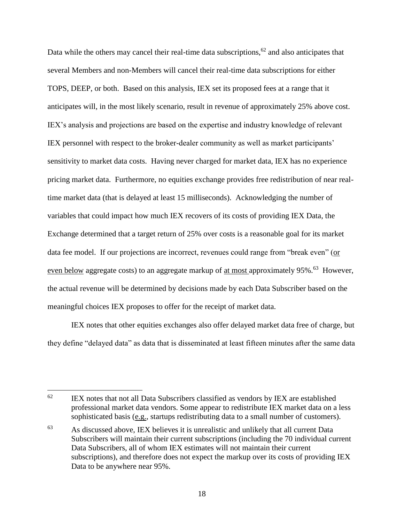Data while the others may cancel their real-time data subscriptions,<sup>62</sup> and also anticipates that several Members and non-Members will cancel their real-time data subscriptions for either TOPS, DEEP, or both. Based on this analysis, IEX set its proposed fees at a range that it anticipates will, in the most likely scenario, result in revenue of approximately 25% above cost. IEX's analysis and projections are based on the expertise and industry knowledge of relevant IEX personnel with respect to the broker-dealer community as well as market participants' sensitivity to market data costs. Having never charged for market data, IEX has no experience pricing market data. Furthermore, no equities exchange provides free redistribution of near realtime market data (that is delayed at least 15 milliseconds). Acknowledging the number of variables that could impact how much IEX recovers of its costs of providing IEX Data, the Exchange determined that a target return of 25% over costs is a reasonable goal for its market data fee model. If our projections are incorrect, revenues could range from "break even" (or even below aggregate costs) to an aggregate markup of <u>at most approximately 95%.<sup>63</sup></u> However, the actual revenue will be determined by decisions made by each Data Subscriber based on the meaningful choices IEX proposes to offer for the receipt of market data.

IEX notes that other equities exchanges also offer delayed market data free of charge, but they define "delayed data" as data that is disseminated at least fifteen minutes after the same data

 $62$ IEX notes that not all Data Subscribers classified as vendors by IEX are established professional market data vendors. Some appear to redistribute IEX market data on a less sophisticated basis (e.g., startups redistributing data to a small number of customers).

<sup>63</sup> As discussed above, IEX believes it is unrealistic and unlikely that all current Data Subscribers will maintain their current subscriptions (including the 70 individual current Data Subscribers, all of whom IEX estimates will not maintain their current subscriptions), and therefore does not expect the markup over its costs of providing IEX Data to be anywhere near 95%.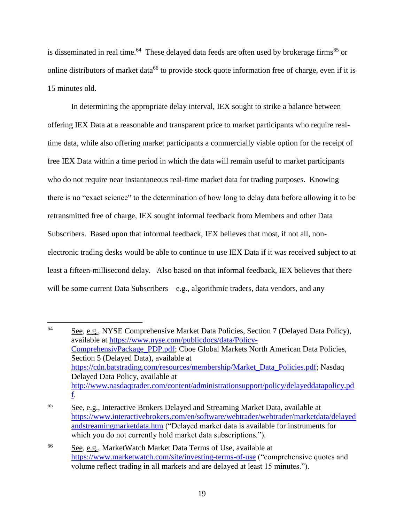is disseminated in real time.<sup>64</sup> These delayed data feeds are often used by brokerage firms<sup>65</sup> or online distributors of market data<sup>66</sup> to provide stock quote information free of charge, even if it is 15 minutes old.

In determining the appropriate delay interval, IEX sought to strike a balance between offering IEX Data at a reasonable and transparent price to market participants who require realtime data, while also offering market participants a commercially viable option for the receipt of free IEX Data within a time period in which the data will remain useful to market participants who do not require near instantaneous real-time market data for trading purposes. Knowing there is no "exact science" to the determination of how long to delay data before allowing it to be retransmitted free of charge, IEX sought informal feedback from Members and other Data Subscribers. Based upon that informal feedback, IEX believes that most, if not all, nonelectronic trading desks would be able to continue to use IEX Data if it was received subject to at least a fifteen-millisecond delay. Also based on that informal feedback, IEX believes that there will be some current Data Subscribers  $-\underline{e.g.}$ , algorithmic traders, data vendors, and any

<sup>64</sup> See, e.g., NYSE Comprehensive Market Data Policies, Section 7 (Delayed Data Policy), available at [https://www.nyse.com/publicdocs/data/Policy-](https://www.nyse.com/publicdocs/data/Policy-ComprehensivPackage_PDP.pdf)[ComprehensivPackage\\_PDP.pdf;](https://www.nyse.com/publicdocs/data/Policy-ComprehensivPackage_PDP.pdf) Cboe Global Markets North American Data Policies, Section 5 (Delayed Data), available at [https://cdn.batstrading.com/resources/membership/Market\\_Data\\_Policies.pdf;](https://cdn.batstrading.com/resources/membership/Market_Data_Policies.pdf) Nasdaq Delayed Data Policy, available at [http://www.nasdaqtrader.com/content/administrationsupport/policy/delayeddatapolicy.pd](http://www.nasdaqtrader.com/content/administrationsupport/policy/delayeddatapolicy.pdf) [f.](http://www.nasdaqtrader.com/content/administrationsupport/policy/delayeddatapolicy.pdf)

 $\frac{65}{2}$  See, e.g., Interactive Brokers Delayed and Streaming Market Data, available at [https://www.interactivebrokers.com/en/software/webtrader/webtrader/marketdata/delayed](https://www.interactivebrokers.com/en/software/webtrader/webtrader/marketdata/delayedandstreamingmarketdata.htm) [andstreamingmarketdata.htm](https://www.interactivebrokers.com/en/software/webtrader/webtrader/marketdata/delayedandstreamingmarketdata.htm) ("Delayed market data is available for instruments for which you do not currently hold market data subscriptions.").

<sup>66</sup> See, e.g., MarketWatch Market Data Terms of Use, available at <https://www.marketwatch.com/site/investing-terms-of-use> ("comprehensive quotes and volume reflect trading in all markets and are delayed at least 15 minutes.").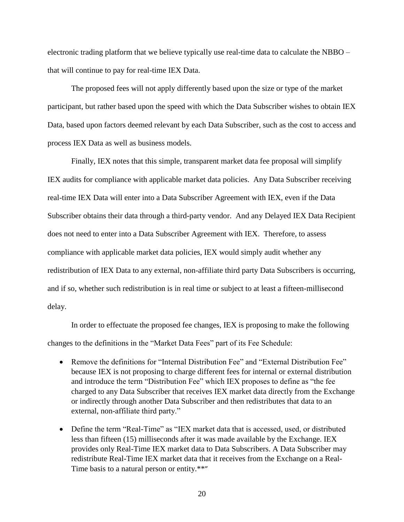electronic trading platform that we believe typically use real-time data to calculate the NBBO – that will continue to pay for real-time IEX Data.

The proposed fees will not apply differently based upon the size or type of the market participant, but rather based upon the speed with which the Data Subscriber wishes to obtain IEX Data, based upon factors deemed relevant by each Data Subscriber, such as the cost to access and process IEX Data as well as business models.

Finally, IEX notes that this simple, transparent market data fee proposal will simplify IEX audits for compliance with applicable market data policies. Any Data Subscriber receiving real-time IEX Data will enter into a Data Subscriber Agreement with IEX, even if the Data Subscriber obtains their data through a third-party vendor. And any Delayed IEX Data Recipient does not need to enter into a Data Subscriber Agreement with IEX. Therefore, to assess compliance with applicable market data policies, IEX would simply audit whether any redistribution of IEX Data to any external, non-affiliate third party Data Subscribers is occurring, and if so, whether such redistribution is in real time or subject to at least a fifteen-millisecond delay.

In order to effectuate the proposed fee changes, IEX is proposing to make the following changes to the definitions in the "Market Data Fees" part of its Fee Schedule:

- Remove the definitions for "Internal Distribution Fee" and "External Distribution Fee" because IEX is not proposing to charge different fees for internal or external distribution and introduce the term "Distribution Fee" which IEX proposes to define as "the fee charged to any Data Subscriber that receives IEX market data directly from the Exchange or indirectly through another Data Subscriber and then redistributes that data to an external, non-affiliate third party."
- Define the term "Real-Time" as "IEX market data that is accessed, used, or distributed less than fifteen (15) milliseconds after it was made available by the Exchange. IEX provides only Real-Time IEX market data to Data Subscribers. A Data Subscriber may redistribute Real-Time IEX market data that it receives from the Exchange on a Real-Time basis to a natural person or entity.\*\*"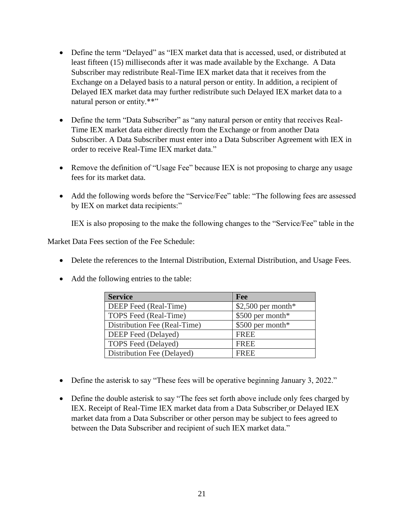- Define the term "Delayed" as "IEX market data that is accessed, used, or distributed at least fifteen (15) milliseconds after it was made available by the Exchange. A Data Subscriber may redistribute Real-Time IEX market data that it receives from the Exchange on a Delayed basis to a natural person or entity. In addition, a recipient of Delayed IEX market data may further redistribute such Delayed IEX market data to a natural person or entity.\*\*"
- Define the term "Data Subscriber" as "any natural person or entity that receives Real-Time IEX market data either directly from the Exchange or from another Data Subscriber. A Data Subscriber must enter into a Data Subscriber Agreement with IEX in order to receive Real-Time IEX market data."
- Remove the definition of "Usage Fee" because IEX is not proposing to charge any usage fees for its market data.
- Add the following words before the "Service/Fee" table: "The following fees are assessed by IEX on market data recipients:"

IEX is also proposing to the make the following changes to the "Service/Fee" table in the

Market Data Fees section of the Fee Schedule:

- Delete the references to the Internal Distribution, External Distribution, and Usage Fees.
- Add the following entries to the table:

| <b>Service</b>               | <b>Fee</b>          |
|------------------------------|---------------------|
| DEEP Feed (Real-Time)        | $$2,500$ per month* |
| TOPS Feed (Real-Time)        | \$500 per month*    |
| Distribution Fee (Real-Time) | \$500 per month*    |
| DEEP Feed (Delayed)          | <b>FREE</b>         |
| <b>TOPS</b> Feed (Delayed)   | <b>FREE</b>         |
| Distribution Fee (Delayed)   | <b>FREE</b>         |

- Define the asterisk to say "These fees will be operative beginning January 3, 2022."
- Define the double asterisk to say "The fees set forth above include only fees charged by IEX. Receipt of Real-Time IEX market data from a Data Subscriber or Delayed IEX market data from a Data Subscriber or other person may be subject to fees agreed to between the Data Subscriber and recipient of such IEX market data."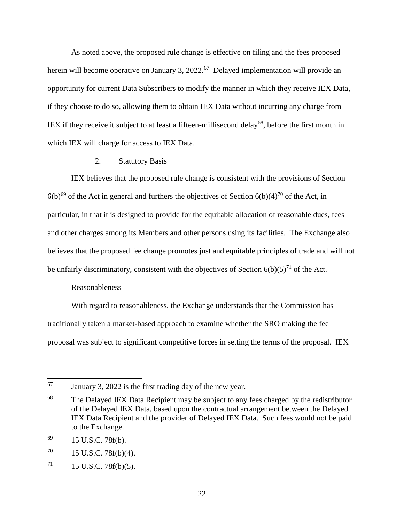As noted above, the proposed rule change is effective on filing and the fees proposed herein will become operative on January 3, 2022.<sup>67</sup> Delayed implementation will provide an opportunity for current Data Subscribers to modify the manner in which they receive IEX Data, if they choose to do so, allowing them to obtain IEX Data without incurring any charge from IEX if they receive it subject to at least a fifteen-millisecond delay<sup>68</sup>, before the first month in which IEX will charge for access to IEX Data.

### 2. Statutory Basis

IEX believes that the proposed rule change is consistent with the provisions of Section  $6(b)^{69}$  of the Act in general and furthers the objectives of Section  $6(b)(4)^{70}$  of the Act, in particular, in that it is designed to provide for the equitable allocation of reasonable dues, fees and other charges among its Members and other persons using its facilities. The Exchange also believes that the proposed fee change promotes just and equitable principles of trade and will not be unfairly discriminatory, consistent with the objectives of Section  $6(b)(5)^{71}$  of the Act.

### Reasonableness

With regard to reasonableness, the Exchange understands that the Commission has traditionally taken a market-based approach to examine whether the SRO making the fee proposal was subject to significant competitive forces in setting the terms of the proposal. IEX

<sup>67</sup> January 3, 2022 is the first trading day of the new year.

<sup>&</sup>lt;sup>68</sup> The Delayed IEX Data Recipient may be subject to any fees charged by the redistributor of the Delayed IEX Data, based upon the contractual arrangement between the Delayed IEX Data Recipient and the provider of Delayed IEX Data. Such fees would not be paid to the Exchange.

 $^{69}$  15 U.S.C. 78f(b).

 $70 \qquad 15 \text{ U.S.C. } 78f(b)(4).$ 

 $71$  15 U.S.C. 78f(b)(5).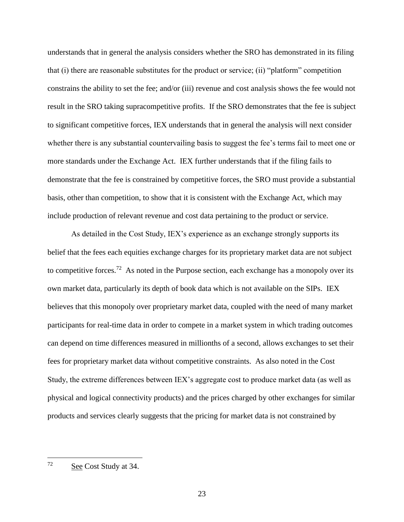understands that in general the analysis considers whether the SRO has demonstrated in its filing that (i) there are reasonable substitutes for the product or service; (ii) "platform" competition constrains the ability to set the fee; and/or (iii) revenue and cost analysis shows the fee would not result in the SRO taking supracompetitive profits. If the SRO demonstrates that the fee is subject to significant competitive forces, IEX understands that in general the analysis will next consider whether there is any substantial countervailing basis to suggest the fee's terms fail to meet one or more standards under the Exchange Act. IEX further understands that if the filing fails to demonstrate that the fee is constrained by competitive forces, the SRO must provide a substantial basis, other than competition, to show that it is consistent with the Exchange Act, which may include production of relevant revenue and cost data pertaining to the product or service.

As detailed in the Cost Study, IEX's experience as an exchange strongly supports its belief that the fees each equities exchange charges for its proprietary market data are not subject to competitive forces.<sup>72</sup> As noted in the Purpose section, each exchange has a monopoly over its own market data, particularly its depth of book data which is not available on the SIPs. IEX believes that this monopoly over proprietary market data, coupled with the need of many market participants for real-time data in order to compete in a market system in which trading outcomes can depend on time differences measured in millionths of a second, allows exchanges to set their fees for proprietary market data without competitive constraints. As also noted in the Cost Study, the extreme differences between IEX's aggregate cost to produce market data (as well as physical and logical connectivity products) and the prices charged by other exchanges for similar products and services clearly suggests that the pricing for market data is not constrained by

<sup>72</sup> See Cost Study at 34.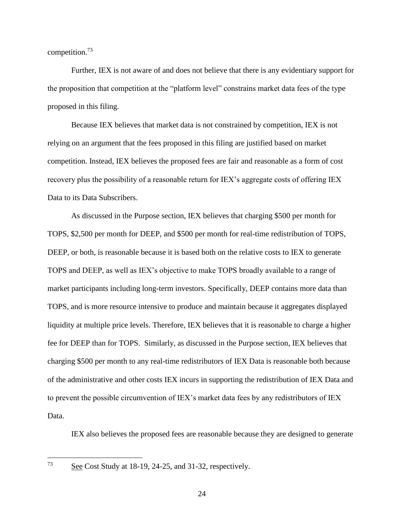competition.<sup>73</sup>

Further, IEX is not aware of and does not believe that there is any evidentiary support for the proposition that competition at the "platform level" constrains market data fees of the type proposed in this filing.

Because IEX believes that market data is not constrained by competition, IEX is not relying on an argument that the fees proposed in this filing are justified based on market competition. Instead, IEX believes the proposed fees are fair and reasonable as a form of cost recovery plus the possibility of a reasonable return for IEX's aggregate costs of offering IEX Data to its Data Subscribers.

As discussed in the Purpose section, IEX believes that charging \$500 per month for TOPS, \$2,500 per month for DEEP, and \$500 per month for real-time redistribution of TOPS, DEEP, or both, is reasonable because it is based both on the relative costs to IEX to generate TOPS and DEEP, as well as IEX's objective to make TOPS broadly available to a range of market participants including long-term investors. Specifically, DEEP contains more data than TOPS, and is more resource intensive to produce and maintain because it aggregates displayed liquidity at multiple price levels. Therefore, IEX believes that it is reasonable to charge a higher fee for DEEP than for TOPS. Similarly, as discussed in the Purpose section, IEX believes that charging \$500 per month to any real-time redistributors of IEX Data is reasonable both because of the administrative and other costs IEX incurs in supporting the redistribution of IEX Data and to prevent the possible circumvention of IEX's market data fees by any redistributors of IEX Data.

IEX also believes the proposed fees are reasonable because they are designed to generate

73

See Cost Study at 18-19, 24-25, and 31-32, respectively.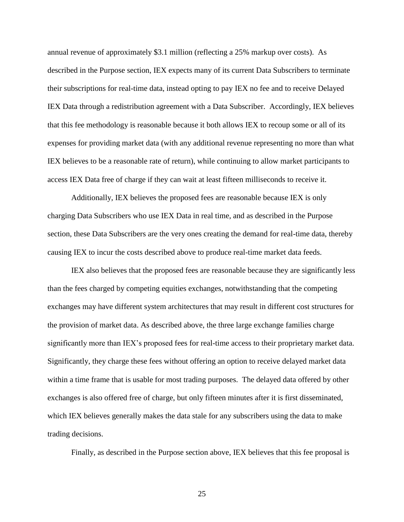annual revenue of approximately \$3.1 million (reflecting a 25% markup over costs). As described in the Purpose section, IEX expects many of its current Data Subscribers to terminate their subscriptions for real-time data, instead opting to pay IEX no fee and to receive Delayed IEX Data through a redistribution agreement with a Data Subscriber. Accordingly, IEX believes that this fee methodology is reasonable because it both allows IEX to recoup some or all of its expenses for providing market data (with any additional revenue representing no more than what IEX believes to be a reasonable rate of return), while continuing to allow market participants to access IEX Data free of charge if they can wait at least fifteen milliseconds to receive it.

Additionally, IEX believes the proposed fees are reasonable because IEX is only charging Data Subscribers who use IEX Data in real time, and as described in the Purpose section, these Data Subscribers are the very ones creating the demand for real-time data, thereby causing IEX to incur the costs described above to produce real-time market data feeds.

IEX also believes that the proposed fees are reasonable because they are significantly less than the fees charged by competing equities exchanges, notwithstanding that the competing exchanges may have different system architectures that may result in different cost structures for the provision of market data. As described above, the three large exchange families charge significantly more than IEX's proposed fees for real-time access to their proprietary market data. Significantly, they charge these fees without offering an option to receive delayed market data within a time frame that is usable for most trading purposes. The delayed data offered by other exchanges is also offered free of charge, but only fifteen minutes after it is first disseminated, which IEX believes generally makes the data stale for any subscribers using the data to make trading decisions.

Finally, as described in the Purpose section above, IEX believes that this fee proposal is

25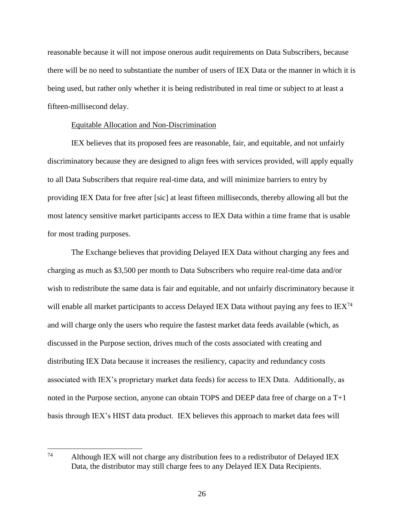reasonable because it will not impose onerous audit requirements on Data Subscribers, because there will be no need to substantiate the number of users of IEX Data or the manner in which it is being used, but rather only whether it is being redistributed in real time or subject to at least a fifteen-millisecond delay.

#### Equitable Allocation and Non-Discrimination

IEX believes that its proposed fees are reasonable, fair, and equitable, and not unfairly discriminatory because they are designed to align fees with services provided, will apply equally to all Data Subscribers that require real-time data, and will minimize barriers to entry by providing IEX Data for free after [sic] at least fifteen milliseconds, thereby allowing all but the most latency sensitive market participants access to IEX Data within a time frame that is usable for most trading purposes.

The Exchange believes that providing Delayed IEX Data without charging any fees and charging as much as \$3,500 per month to Data Subscribers who require real-time data and/or wish to redistribute the same data is fair and equitable, and not unfairly discriminatory because it will enable all market participants to access Delayed IEX Data without paying any fees to  $IEX^{74}$ and will charge only the users who require the fastest market data feeds available (which, as discussed in the Purpose section, drives much of the costs associated with creating and distributing IEX Data because it increases the resiliency, capacity and redundancy costs associated with IEX's proprietary market data feeds) for access to IEX Data. Additionally, as noted in the Purpose section, anyone can obtain TOPS and DEEP data free of charge on a T+1 basis through IEX's HIST data product. IEX believes this approach to market data fees will

<sup>74</sup> Although IEX will not charge any distribution fees to a redistributor of Delayed IEX Data, the distributor may still charge fees to any Delayed IEX Data Recipients.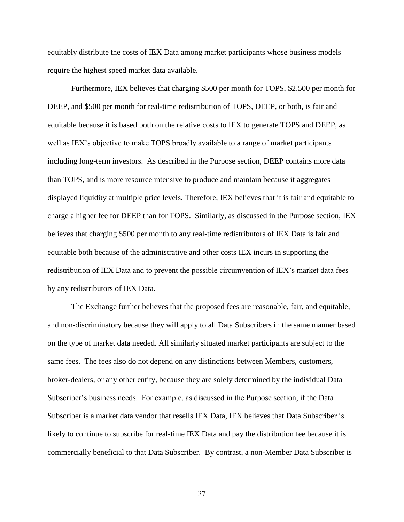equitably distribute the costs of IEX Data among market participants whose business models require the highest speed market data available.

Furthermore, IEX believes that charging \$500 per month for TOPS, \$2,500 per month for DEEP, and \$500 per month for real-time redistribution of TOPS, DEEP, or both, is fair and equitable because it is based both on the relative costs to IEX to generate TOPS and DEEP, as well as IEX's objective to make TOPS broadly available to a range of market participants including long-term investors. As described in the Purpose section, DEEP contains more data than TOPS, and is more resource intensive to produce and maintain because it aggregates displayed liquidity at multiple price levels. Therefore, IEX believes that it is fair and equitable to charge a higher fee for DEEP than for TOPS. Similarly, as discussed in the Purpose section, IEX believes that charging \$500 per month to any real-time redistributors of IEX Data is fair and equitable both because of the administrative and other costs IEX incurs in supporting the redistribution of IEX Data and to prevent the possible circumvention of IEX's market data fees by any redistributors of IEX Data.

The Exchange further believes that the proposed fees are reasonable, fair, and equitable, and non-discriminatory because they will apply to all Data Subscribers in the same manner based on the type of market data needed. All similarly situated market participants are subject to the same fees. The fees also do not depend on any distinctions between Members, customers, broker-dealers, or any other entity, because they are solely determined by the individual Data Subscriber's business needs. For example, as discussed in the Purpose section, if the Data Subscriber is a market data vendor that resells IEX Data, IEX believes that Data Subscriber is likely to continue to subscribe for real-time IEX Data and pay the distribution fee because it is commercially beneficial to that Data Subscriber. By contrast, a non-Member Data Subscriber is

27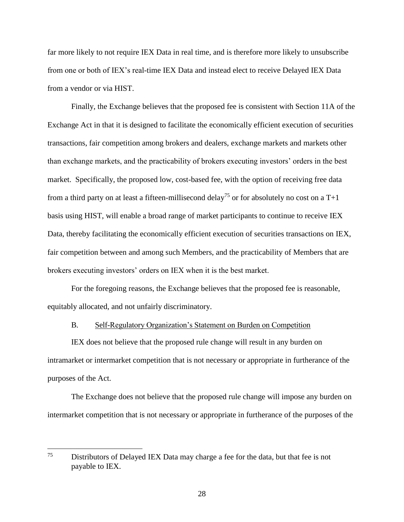far more likely to not require IEX Data in real time, and is therefore more likely to unsubscribe from one or both of IEX's real-time IEX Data and instead elect to receive Delayed IEX Data from a vendor or via HIST.

Finally, the Exchange believes that the proposed fee is consistent with Section 11A of the Exchange Act in that it is designed to facilitate the economically efficient execution of securities transactions, fair competition among brokers and dealers, exchange markets and markets other than exchange markets, and the practicability of brokers executing investors' orders in the best market. Specifically, the proposed low, cost-based fee, with the option of receiving free data from a third party on at least a fifteen-millisecond delay<sup>75</sup> or for absolutely no cost on a T+1 basis using HIST, will enable a broad range of market participants to continue to receive IEX Data, thereby facilitating the economically efficient execution of securities transactions on IEX, fair competition between and among such Members, and the practicability of Members that are brokers executing investors' orders on IEX when it is the best market.

For the foregoing reasons, the Exchange believes that the proposed fee is reasonable, equitably allocated, and not unfairly discriminatory.

#### B. Self-Regulatory Organization's Statement on Burden on Competition

IEX does not believe that the proposed rule change will result in any burden on intramarket or intermarket competition that is not necessary or appropriate in furtherance of the purposes of the Act.

The Exchange does not believe that the proposed rule change will impose any burden on intermarket competition that is not necessary or appropriate in furtherance of the purposes of the

<sup>75</sup> Distributors of Delayed IEX Data may charge a fee for the data, but that fee is not payable to IEX.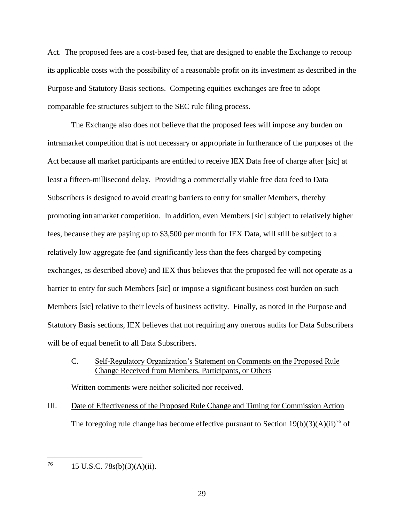Act. The proposed fees are a cost-based fee, that are designed to enable the Exchange to recoup its applicable costs with the possibility of a reasonable profit on its investment as described in the Purpose and Statutory Basis sections. Competing equities exchanges are free to adopt comparable fee structures subject to the SEC rule filing process.

The Exchange also does not believe that the proposed fees will impose any burden on intramarket competition that is not necessary or appropriate in furtherance of the purposes of the Act because all market participants are entitled to receive IEX Data free of charge after [sic] at least a fifteen-millisecond delay. Providing a commercially viable free data feed to Data Subscribers is designed to avoid creating barriers to entry for smaller Members, thereby promoting intramarket competition. In addition, even Members [sic] subject to relatively higher fees, because they are paying up to \$3,500 per month for IEX Data, will still be subject to a relatively low aggregate fee (and significantly less than the fees charged by competing exchanges, as described above) and IEX thus believes that the proposed fee will not operate as a barrier to entry for such Members [sic] or impose a significant business cost burden on such Members [sic] relative to their levels of business activity. Finally, as noted in the Purpose and Statutory Basis sections, IEX believes that not requiring any onerous audits for Data Subscribers will be of equal benefit to all Data Subscribers.

C. Self-Regulatory Organization's Statement on Comments on the Proposed Rule Change Received from Members, Participants, or Others

Written comments were neither solicited nor received.

III. Date of Effectiveness of the Proposed Rule Change and Timing for Commission Action The foregoing rule change has become effective pursuant to Section  $19(b)(3)(A)(ii)^{76}$  of

76 <sup>76</sup> 15 U.S.C. 78s(b)(3)(A)(ii).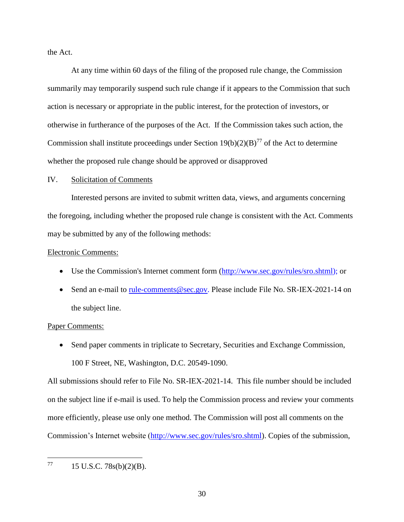the Act.

At any time within 60 days of the filing of the proposed rule change, the Commission summarily may temporarily suspend such rule change if it appears to the Commission that such action is necessary or appropriate in the public interest, for the protection of investors, or otherwise in furtherance of the purposes of the Act. If the Commission takes such action, the Commission shall institute proceedings under Section  $19(b)(2)(B)^{77}$  of the Act to determine whether the proposed rule change should be approved or disapproved

#### IV. Solicitation of Comments

Interested persons are invited to submit written data, views, and arguments concerning the foregoing, including whether the proposed rule change is consistent with the Act. Comments may be submitted by any of the following methods:

#### Electronic Comments:

- Use the Commission's Internet comment form [\(http://www.sec.gov/rules/sro.shtml\)](http://www.sec.gov/rules/sro.shtml); or
- Send an e-mail to [rule-comments@sec.gov.](mailto:rule-comments@sec.gov) Please include File No. SR-IEX-2021-14 on the subject line.

#### Paper Comments:

 Send paper comments in triplicate to Secretary, Securities and Exchange Commission, 100 F Street, NE, Washington, D.C. 20549-1090.

All submissions should refer to File No. SR-IEX-2021-14. This file number should be included on the subject line if e-mail is used. To help the Commission process and review your comments more efficiently, please use only one method. The Commission will post all comments on the Commission's Internet website [\(http://www.sec.gov/rules/sro.shtml\)](http://www.sec.gov/rules/sro.shtml). Copies of the submission,

77 15 U.S.C. 78s(b)(2)(B).